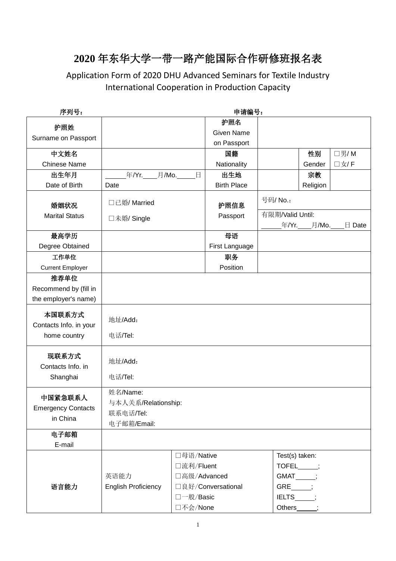## **2020** 年东华大学一带一路产能国际合作研修班报名表

Application Form of 2020 DHU Advanced Seminars for Textile Industry International Cooperation in Production Capacity

| 序列号:                                             | 申请编号:                                                       |                                                                   |                    |                                                                                        |             |        |  |  |  |  |
|--------------------------------------------------|-------------------------------------------------------------|-------------------------------------------------------------------|--------------------|----------------------------------------------------------------------------------------|-------------|--------|--|--|--|--|
|                                                  |                                                             |                                                                   | 护照名                |                                                                                        |             |        |  |  |  |  |
| 护照姓                                              |                                                             |                                                                   | <b>Given Name</b>  |                                                                                        |             |        |  |  |  |  |
| Surname on Passport                              | on Passport                                                 |                                                                   |                    |                                                                                        |             |        |  |  |  |  |
| 中文姓名                                             |                                                             |                                                                   | 国籍                 |                                                                                        | 性别          | □男/M   |  |  |  |  |
| <b>Chinese Name</b>                              |                                                             |                                                                   | Nationality        |                                                                                        | Gender      | □女/F   |  |  |  |  |
| 出生年月                                             | 年/Yr. 月/Mo. 日                                               |                                                                   | 出生地                |                                                                                        | 宗教          |        |  |  |  |  |
| Date of Birth                                    | Date                                                        |                                                                   | <b>Birth Place</b> |                                                                                        | Religion    |        |  |  |  |  |
| 婚姻状况                                             | □已婚/Married<br>□未婚/ Single                                  |                                                                   | 护照信息               | 号码/ No.:                                                                               |             |        |  |  |  |  |
| <b>Marital Status</b>                            |                                                             |                                                                   | Passport           | 有限期/Valid Until:                                                                       | 年/Yr. 月/Mo. | 日 Date |  |  |  |  |
| 最高学历                                             |                                                             |                                                                   | 母语                 |                                                                                        |             |        |  |  |  |  |
| Degree Obtained                                  |                                                             |                                                                   | First Language     |                                                                                        |             |        |  |  |  |  |
| 工作单位                                             |                                                             |                                                                   | 职务                 |                                                                                        |             |        |  |  |  |  |
| <b>Current Employer</b>                          |                                                             |                                                                   | Position           |                                                                                        |             |        |  |  |  |  |
| 推荐单位                                             |                                                             |                                                                   |                    |                                                                                        |             |        |  |  |  |  |
| Recommend by (fill in                            |                                                             |                                                                   |                    |                                                                                        |             |        |  |  |  |  |
| the employer's name)                             |                                                             |                                                                   |                    |                                                                                        |             |        |  |  |  |  |
| 本国联系方式<br>Contacts Info. in your                 | 地址/Add:                                                     |                                                                   |                    |                                                                                        |             |        |  |  |  |  |
| home country                                     | 电话/Tel:                                                     |                                                                   |                    |                                                                                        |             |        |  |  |  |  |
| 现联系方式<br>Contacts Info. in                       | 地址/Add:                                                     |                                                                   |                    |                                                                                        |             |        |  |  |  |  |
| Shanghai                                         | 电话/Tel:                                                     |                                                                   |                    |                                                                                        |             |        |  |  |  |  |
| 中国紧急联系人<br><b>Emergency Contacts</b><br>in China | 姓名/Name:<br>与本人关系/Relationship:<br>联系电话/Tel:<br>电子邮箱/Email: |                                                                   |                    |                                                                                        |             |        |  |  |  |  |
| 电子邮箱<br>E-mail                                   |                                                             |                                                                   |                    |                                                                                        |             |        |  |  |  |  |
| 语言能力                                             | 英语能力<br><b>English Proficiency</b>                          | □母语/Native<br>□流利/Fluent<br>□高级/Advanced<br>□一般/Basic<br>口不会/None | □良好/Conversational | Test(s) taken:<br>$TOFEL$ $\qquad$<br>GMAT_____;<br>GRE ;<br>$IELTS$ ;<br>Others_____; |             |        |  |  |  |  |